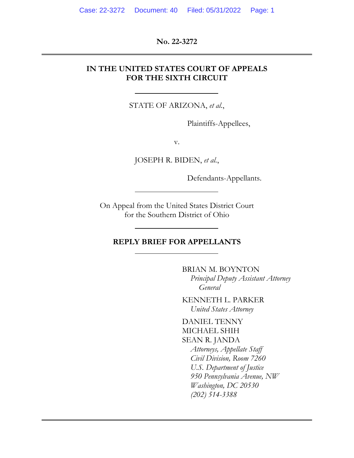**No. 22-3272** 

### **IN THE UNITED STATES COURT OF APPEALS FOR THE SIXTH CIRCUIT**

STATE OF ARIZONA, *et al.*,

Plaintiffs-Appellees,

v.

JOSEPH R. BIDEN, *et al.*,

Defendants-Appellants.

On Appeal from the United States District Court for the Southern District of Ohio

#### **REPLY BRIEF FOR APPELLANTS**

BRIAN M. BOYNTON *Principal Deputy Assistant Attorney General* 

KENNETH L. PARKER *United States Attorney* 

DANIEL TENNY MICHAEL SHIH SEAN R. JANDA *Attorneys, Appellate Staff Civil Division, Room 7260 U.S. Department of Justice 950 Pennsylvania Avenue, NW Washington, DC 20530 (202) 514-3388*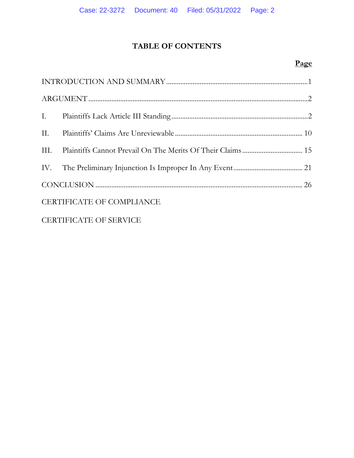# **TABLE OF CONTENTS**

# **Page**

| III.                             |  |  |  |
|----------------------------------|--|--|--|
|                                  |  |  |  |
|                                  |  |  |  |
| <b>CERTIFICATE OF COMPLIANCE</b> |  |  |  |
| <b>CERTIFICATE OF SERVICE</b>    |  |  |  |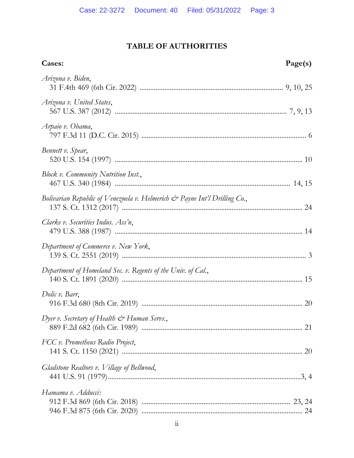# **TABLE OF AUTHORITIES**

| Cases:                                                                                  | Page(s) |
|-----------------------------------------------------------------------------------------|---------|
| Arizona v. Biden,                                                                       |         |
| Arizona v. United States,                                                               |         |
| Arpaio v. Obama,                                                                        |         |
| Bennett v. Spear,                                                                       |         |
| Block v. Community Nutrition Inst.,                                                     |         |
| Bolivarian Republic of Venezuela v. Helmerich $\mathcal{Q}^*$ Payne Int'l Drilling Co., |         |
| Clarke v. Securities Indus. Ass'n,                                                      |         |
| Department of Commerce v. New York,                                                     |         |
| Department of Homeland Sec. v. Regents of the Univ. of Cal.,                            |         |
| Dolic v. Barr,                                                                          |         |
| Dyer v. Secretary of Health $\mathcal{Q}^*$ Human Servs.,                               |         |
| FCC v. Prometheus Radio Project,                                                        |         |
| Gladstone Realtors v. Village of Bellwood,                                              |         |
| Hamama v. Adducci:                                                                      |         |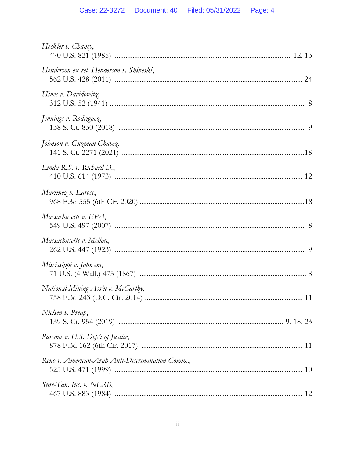| Heckler v. Chaney,                               |  |
|--------------------------------------------------|--|
| Henderson ex rel. Henderson v. Shineski,         |  |
| Hines v. Davidowitz,                             |  |
| Jennings v. Rodriguez,                           |  |
| Johnson v. Guzman Chavez,                        |  |
| Linda R.S. $v$ . Richard D.,                     |  |
| Martinez v. Larose,                              |  |
| Massachusetts v. EPA,                            |  |
| Massachusetts v. Mellon,                         |  |
| Mississippi v. Johnson,                          |  |
| National Mining Ass'n v. McCarthy,               |  |
| Nielsen v. Preap,                                |  |
| Parsons v. U.S. Dep't of Justice,                |  |
| Reno v. American-Arab Anti-Discrimination Comm., |  |
| Sure-Tan, Inc. v. NLRB,                          |  |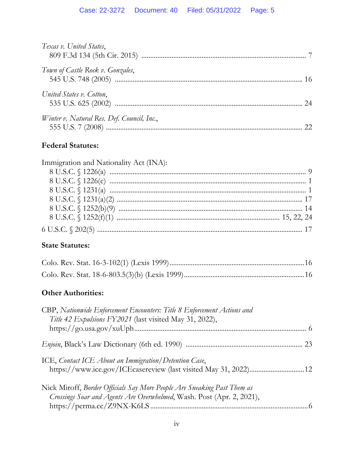| Texas v. United States,                    |    |
|--------------------------------------------|----|
| Town of Castle Rock v. Gonzales,           |    |
| United States v. Cotton,                   | 24 |
| Winter v. Natural Res. Def. Council, Inc., | 22 |

# **Federal Statutes:**

| Immigration and Nationality Act (INA): |  |
|----------------------------------------|--|
|                                        |  |
|                                        |  |
|                                        |  |
|                                        |  |
|                                        |  |
|                                        |  |
|                                        |  |

# **State Statutes:**

## **Other Authorities:**

| CBP, Nationwide Enforcement Encounters: Title 8 Enforcement Actions and<br>Title 42 Expulsions FY2021 (last visited May 31, 2022),               |  |
|--------------------------------------------------------------------------------------------------------------------------------------------------|--|
|                                                                                                                                                  |  |
| ICE, Contact ICE About an Immigration/Detention Case,<br>https://www.ice.gov/ICEcasereview (last visited May 31, 2022) 12                        |  |
| Nick Miroff, Border Officials Say More People Are Sneaking Past Them as<br>Crossings Soar and Agents Are Overwhelmed, Wash. Post (Apr. 2, 2021), |  |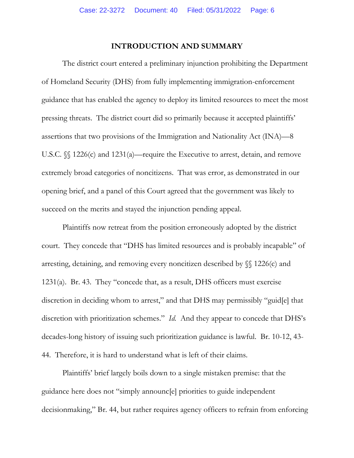### **INTRODUCTION AND SUMMARY**

The district court entered a preliminary injunction prohibiting the Department of Homeland Security (DHS) from fully implementing immigration-enforcement guidance that has enabled the agency to deploy its limited resources to meet the most pressing threats. The district court did so primarily because it accepted plaintiffs' assertions that two provisions of the Immigration and Nationality Act (INA)—8 U.S.C.  $\mathcal{S}$  1226(c) and 1231(a)—require the Executive to arrest, detain, and remove extremely broad categories of noncitizens. That was error, as demonstrated in our opening brief, and a panel of this Court agreed that the government was likely to succeed on the merits and stayed the injunction pending appeal.

Plaintiffs now retreat from the position erroneously adopted by the district court. They concede that "DHS has limited resources and is probably incapable" of arresting, detaining, and removing every noncitizen described by §§ 1226(c) and 1231(a). Br. 43. They "concede that, as a result, DHS officers must exercise discretion in deciding whom to arrest," and that DHS may permissibly "guid[e] that discretion with prioritization schemes." *Id.* And they appear to concede that DHS's decades-long history of issuing such prioritization guidance is lawful. Br. 10-12, 43- 44. Therefore, it is hard to understand what is left of their claims.

Plaintiffs' brief largely boils down to a single mistaken premise: that the guidance here does not "simply announc[e] priorities to guide independent decisionmaking," Br. 44, but rather requires agency officers to refrain from enforcing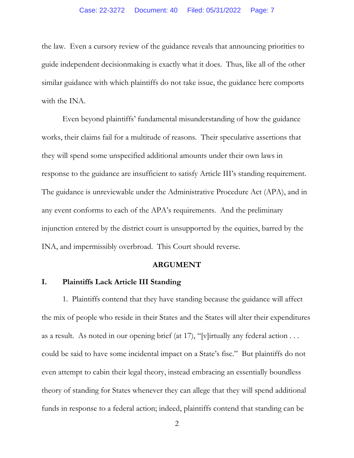the law. Even a cursory review of the guidance reveals that announcing priorities to guide independent decisionmaking is exactly what it does. Thus, like all of the other similar guidance with which plaintiffs do not take issue, the guidance here comports with the INA.

Even beyond plaintiffs' fundamental misunderstanding of how the guidance works, their claims fail for a multitude of reasons. Their speculative assertions that they will spend some unspecified additional amounts under their own laws in response to the guidance are insufficient to satisfy Article III's standing requirement. The guidance is unreviewable under the Administrative Procedure Act (APA), and in any event conforms to each of the APA's requirements. And the preliminary injunction entered by the district court is unsupported by the equities, barred by the INA, and impermissibly overbroad. This Court should reverse.

#### **ARGUMENT**

#### **I. Plaintiffs Lack Article III Standing**

1. Plaintiffs contend that they have standing because the guidance will affect the mix of people who reside in their States and the States will alter their expenditures as a result. As noted in our opening brief (at 17), "[v]irtually any federal action . . . could be said to have some incidental impact on a State's fisc." But plaintiffs do not even attempt to cabin their legal theory, instead embracing an essentially boundless theory of standing for States whenever they can allege that they will spend additional funds in response to a federal action; indeed, plaintiffs contend that standing can be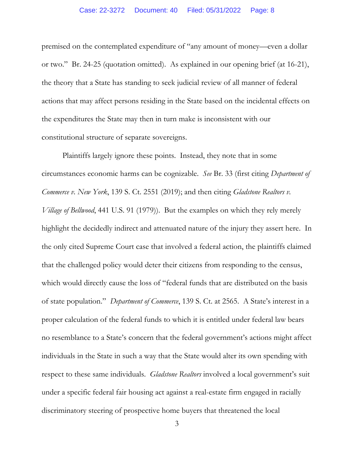#### Case: 22-3272 Document: 40 Filed: 05/31/2022 Page: 8

premised on the contemplated expenditure of "any amount of money—even a dollar or two." Br. 24-25 (quotation omitted). As explained in our opening brief (at 16-21), the theory that a State has standing to seek judicial review of all manner of federal actions that may affect persons residing in the State based on the incidental effects on the expenditures the State may then in turn make is inconsistent with our constitutional structure of separate sovereigns.

Plaintiffs largely ignore these points. Instead, they note that in some circumstances economic harms can be cognizable. *See* Br. 33 (first citing *Department of Commerce v. New York*, 139 S. Ct. 2551 (2019); and then citing *Gladstone Realtors v. Village of Bellwood*, 441 U.S. 91 (1979)). But the examples on which they rely merely highlight the decidedly indirect and attenuated nature of the injury they assert here. In the only cited Supreme Court case that involved a federal action, the plaintiffs claimed that the challenged policy would deter their citizens from responding to the census, which would directly cause the loss of "federal funds that are distributed on the basis of state population." *Department of Commerce*, 139 S. Ct. at 2565. A State's interest in a proper calculation of the federal funds to which it is entitled under federal law bears no resemblance to a State's concern that the federal government's actions might affect individuals in the State in such a way that the State would alter its own spending with respect to these same individuals. *Gladstone Realtors* involved a local government's suit under a specific federal fair housing act against a real-estate firm engaged in racially discriminatory steering of prospective home buyers that threatened the local

3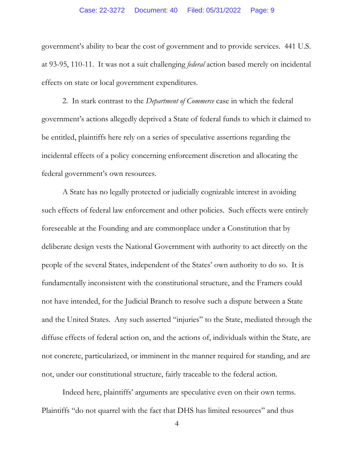government's ability to bear the cost of government and to provide services. 441 U.S. at 93-95, 110-11. It was not a suit challenging *federal* action based merely on incidental effects on state or local government expenditures.

2. In stark contrast to the *Department of Commerce* case in which the federal government's actions allegedly deprived a State of federal funds to which it claimed to be entitled, plaintiffs here rely on a series of speculative assertions regarding the incidental effects of a policy concerning enforcement discretion and allocating the federal government's own resources.

A State has no legally protected or judicially cognizable interest in avoiding such effects of federal law enforcement and other policies. Such effects were entirely foreseeable at the Founding and are commonplace under a Constitution that by deliberate design vests the National Government with authority to act directly on the people of the several States, independent of the States' own authority to do so. It is fundamentally inconsistent with the constitutional structure, and the Framers could not have intended, for the Judicial Branch to resolve such a dispute between a State and the United States. Any such asserted "injuries" to the State, mediated through the diffuse effects of federal action on, and the actions of, individuals within the State, are not concrete, particularized, or imminent in the manner required for standing, and are not, under our constitutional structure, fairly traceable to the federal action.

Indeed here, plaintiffs' arguments are speculative even on their own terms. Plaintiffs "do not quarrel with the fact that DHS has limited resources" and thus

4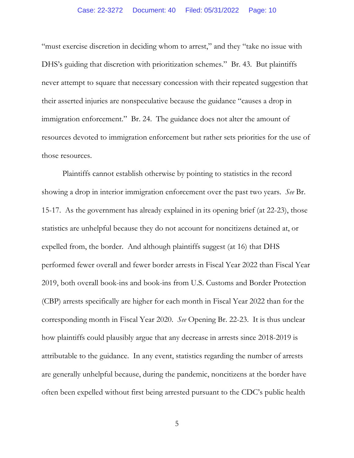"must exercise discretion in deciding whom to arrest," and they "take no issue with DHS's guiding that discretion with prioritization schemes." Br. 43. But plaintiffs never attempt to square that necessary concession with their repeated suggestion that their asserted injuries are nonspeculative because the guidance "causes a drop in immigration enforcement." Br. 24. The guidance does not alter the amount of resources devoted to immigration enforcement but rather sets priorities for the use of those resources.

Plaintiffs cannot establish otherwise by pointing to statistics in the record showing a drop in interior immigration enforcement over the past two years. *See* Br. 15-17. As the government has already explained in its opening brief (at 22-23), those statistics are unhelpful because they do not account for noncitizens detained at, or expelled from, the border. And although plaintiffs suggest (at 16) that DHS performed fewer overall and fewer border arrests in Fiscal Year 2022 than Fiscal Year 2019, both overall book-ins and book-ins from U.S. Customs and Border Protection (CBP) arrests specifically are higher for each month in Fiscal Year 2022 than for the corresponding month in Fiscal Year 2020. *See* Opening Br. 22-23. It is thus unclear how plaintiffs could plausibly argue that any decrease in arrests since 2018-2019 is attributable to the guidance. In any event, statistics regarding the number of arrests are generally unhelpful because, during the pandemic, noncitizens at the border have often been expelled without first being arrested pursuant to the CDC's public health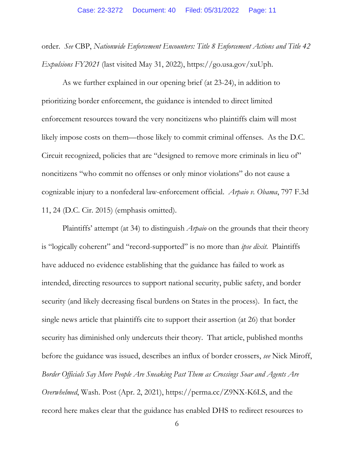order. *See* CBP, *Nationwide Enforcement Encounters: Title 8 Enforcement Actions and Title 42 Expulsions FY2021* (last visited May 31, 2022), https://go.usa.gov/xuUph.

As we further explained in our opening brief (at 23-24), in addition to prioritizing border enforcement, the guidance is intended to direct limited enforcement resources toward the very noncitizens who plaintiffs claim will most likely impose costs on them—those likely to commit criminal offenses. As the D.C. Circuit recognized, policies that are "designed to remove more criminals in lieu of" noncitizens "who commit no offenses or only minor violations" do not cause a cognizable injury to a nonfederal law-enforcement official. *Arpaio v. Obama*, 797 F.3d 11, 24 (D.C. Cir. 2015) (emphasis omitted).

Plaintiffs' attempt (at 34) to distinguish *Arpaio* on the grounds that their theory is "logically coherent" and "record-supported" is no more than *ipse dixit*. Plaintiffs have adduced no evidence establishing that the guidance has failed to work as intended, directing resources to support national security, public safety, and border security (and likely decreasing fiscal burdens on States in the process). In fact, the single news article that plaintiffs cite to support their assertion (at 26) that border security has diminished only undercuts their theory. That article, published months before the guidance was issued, describes an influx of border crossers, *see* Nick Miroff, *Border Officials Say More People Are Sneaking Past Them as Crossings Soar and Agents Are Overwhelmed*, Wash. Post (Apr. 2, 2021), https://perma.cc/Z9NX-K6LS, and the record here makes clear that the guidance has enabled DHS to redirect resources to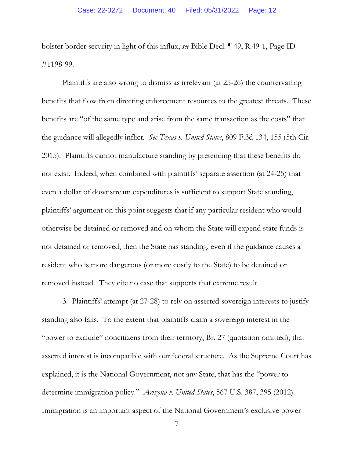bolster border security in light of this influx, *see* Bible Decl. ¶ 49, R.49-1, Page ID #1198-99.

Plaintiffs are also wrong to dismiss as irrelevant (at 25-26) the countervailing benefits that flow from directing enforcement resources to the greatest threats. These benefits are "of the same type and arise from the same transaction as the costs" that the guidance will allegedly inflict. *See Texas v. United States*, 809 F.3d 134, 155 (5th Cir. 2015). Plaintiffs cannot manufacture standing by pretending that these benefits do not exist. Indeed, when combined with plaintiffs' separate assertion (at 24-25) that even a dollar of downstream expenditures is sufficient to support State standing, plaintiffs' argument on this point suggests that if any particular resident who would otherwise be detained or removed and on whom the State will expend state funds is not detained or removed, then the State has standing, even if the guidance causes a resident who is more dangerous (or more costly to the State) to be detained or removed instead. They cite no case that supports that extreme result.

3. Plaintiffs' attempt (at 27-28) to rely on asserted sovereign interests to justify standing also fails. To the extent that plaintiffs claim a sovereign interest in the "power to exclude" noncitizens from their territory, Br. 27 (quotation omitted), that asserted interest is incompatible with our federal structure. As the Supreme Court has explained, it is the National Government, not any State, that has the "power to determine immigration policy." *Arizona v. United States*, 567 U.S. 387, 395 (2012). Immigration is an important aspect of the National Government's exclusive power

<sup>7</sup>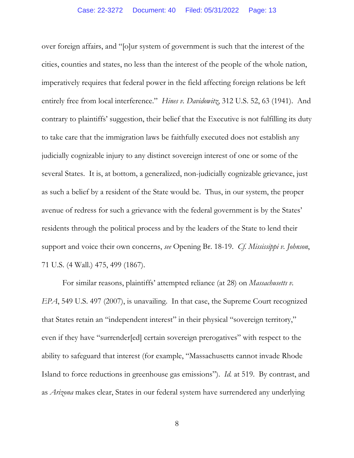over foreign affairs, and "[o]ur system of government is such that the interest of the cities, counties and states, no less than the interest of the people of the whole nation, imperatively requires that federal power in the field affecting foreign relations be left entirely free from local interference." *Hines v. Davidowitz*, 312 U.S. 52, 63 (1941).And contrary to plaintiffs' suggestion, their belief that the Executive is not fulfilling its duty to take care that the immigration laws be faithfully executed does not establish any judicially cognizable injury to any distinct sovereign interest of one or some of the several States. It is, at bottom, a generalized, non-judicially cognizable grievance, just as such a belief by a resident of the State would be. Thus, in our system, the proper avenue of redress for such a grievance with the federal government is by the States' residents through the political process and by the leaders of the State to lend their support and voice their own concerns, *see* Opening Br. 18-19. *Cf. Mississippi v. Johnson*, 71 U.S. (4 Wall.) 475, 499 (1867).

For similar reasons, plaintiffs' attempted reliance (at 28) on *Massachusetts v. EPA*, 549 U.S. 497 (2007), is unavailing. In that case, the Supreme Court recognized that States retain an "independent interest" in their physical "sovereign territory," even if they have "surrender[ed] certain sovereign prerogatives" with respect to the ability to safeguard that interest (for example, "Massachusetts cannot invade Rhode Island to force reductions in greenhouse gas emissions"). *Id.* at 519. By contrast, and as *Arizona* makes clear, States in our federal system have surrendered any underlying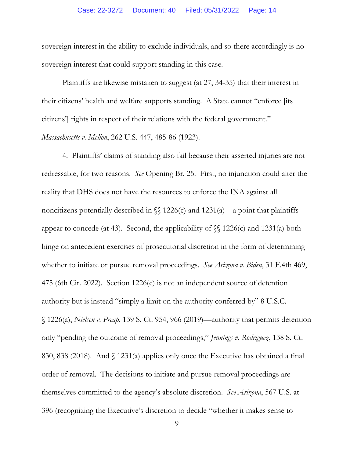sovereign interest in the ability to exclude individuals, and so there accordingly is no sovereign interest that could support standing in this case.

Plaintiffs are likewise mistaken to suggest (at 27, 34-35) that their interest in their citizens' health and welfare supports standing. A State cannot "enforce [its citizens'] rights in respect of their relations with the federal government." *Massachusetts v. Mellon*, 262 U.S. 447, 485-86 (1923).

4. Plaintiffs' claims of standing also fail because their asserted injuries are not redressable, for two reasons. *See* Opening Br. 25. First, no injunction could alter the reality that DHS does not have the resources to enforce the INA against all noncitizens potentially described in  $\mathcal{N}$  1226(c) and 1231(a)—a point that plaintiffs appear to concede (at 43). Second, the applicability of  $\mathcal{S}$  1226(c) and 1231(a) both hinge on antecedent exercises of prosecutorial discretion in the form of determining whether to initiate or pursue removal proceedings. *See Arizona v. Biden*, 31 F.4th 469, 475 (6th Cir. 2022). Section 1226(c) is not an independent source of detention authority but is instead "simply a limit on the authority conferred by" 8 U.S.C. § 1226(a), *Nielsen v. Preap*, 139 S. Ct. 954, 966 (2019)—authority that permits detention only "pending the outcome of removal proceedings," *Jennings v. Rodriguez*, 138 S. Ct. 830, 838 (2018). And § 1231(a) applies only once the Executive has obtained a final order of removal. The decisions to initiate and pursue removal proceedings are themselves committed to the agency's absolute discretion. *See Arizona*, 567 U.S. at 396 (recognizing the Executive's discretion to decide "whether it makes sense to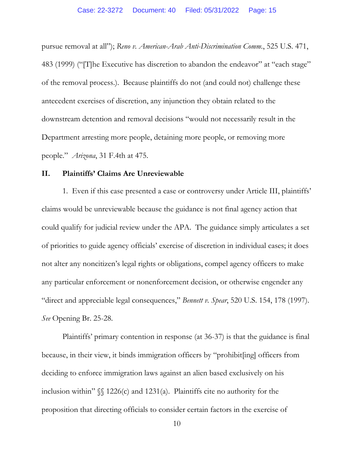pursue removal at all"); *Reno v. American-Arab Anti-Discrimination Comm.*, 525 U.S. 471, 483 (1999) ("[T]he Executive has discretion to abandon the endeavor" at "each stage" of the removal process.). Because plaintiffs do not (and could not) challenge these antecedent exercises of discretion, any injunction they obtain related to the downstream detention and removal decisions "would not necessarily result in the Department arresting more people, detaining more people, or removing more people." *Arizona*, 31 F.4th at 475.

#### **II. Plaintiffs' Claims Are Unreviewable**

1. Even if this case presented a case or controversy under Article III, plaintiffs' claims would be unreviewable because the guidance is not final agency action that could qualify for judicial review under the APA. The guidance simply articulates a set of priorities to guide agency officials' exercise of discretion in individual cases; it does not alter any noncitizen's legal rights or obligations, compel agency officers to make any particular enforcement or nonenforcement decision, or otherwise engender any "direct and appreciable legal consequences," *Bennett v. Spear*, 520 U.S. 154, 178 (1997). *See* Opening Br. 25-28.

Plaintiffs' primary contention in response (at 36-37) is that the guidance is final because, in their view, it binds immigration officers by "prohibit[ing] officers from deciding to enforce immigration laws against an alien based exclusively on his inclusion within"  $\mathcal{S}$  1226(c) and 1231(a). Plaintiffs cite no authority for the proposition that directing officials to consider certain factors in the exercise of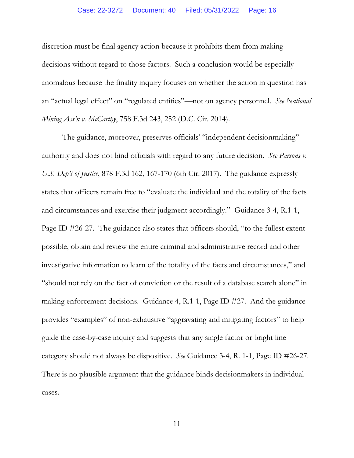discretion must be final agency action because it prohibits them from making decisions without regard to those factors. Such a conclusion would be especially anomalous because the finality inquiry focuses on whether the action in question has an "actual legal effect" on "regulated entities"—not on agency personnel. *See National Mining Ass'n v. McCarthy*, 758 F.3d 243, 252 (D.C. Cir. 2014).

The guidance, moreover, preserves officials' "independent decisionmaking" authority and does not bind officials with regard to any future decision. *See Parsons v. U.S. Dep't of Justice*, 878 F.3d 162, 167-170 (6th Cir. 2017). The guidance expressly states that officers remain free to "evaluate the individual and the totality of the facts and circumstances and exercise their judgment accordingly." Guidance 3-4, R.1-1, Page ID #26-27. The guidance also states that officers should, "to the fullest extent possible, obtain and review the entire criminal and administrative record and other investigative information to learn of the totality of the facts and circumstances," and "should not rely on the fact of conviction or the result of a database search alone" in making enforcement decisions. Guidance 4, R.1-1, Page ID #27. And the guidance provides "examples" of non-exhaustive "aggravating and mitigating factors" to help guide the case-by-case inquiry and suggests that any single factor or bright line category should not always be dispositive. *See* Guidance 3-4, R. 1-1, Page ID #26-27. There is no plausible argument that the guidance binds decisionmakers in individual cases.

11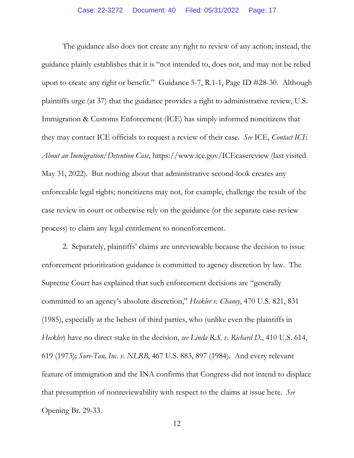The guidance also does not create any right to review of any action; instead, the guidance plainly establishes that it is "not intended to, does not, and may not be relied upon to create any right or benefit." Guidance 5-7, R.1-1, Page ID #28-30. Although plaintiffs urge (at 37) that the guidance provides a right to administrative review, U.S. Immigration & Customs Enforcement (ICE) has simply informed noncitizens that they may contact ICE officials to request a review of their case. *See* ICE, *Contact ICE About an Immigration/Detention Case*, https://www.ice.gov/ICEcasereview (last visited May 31, 2022). But nothing about that administrative second-look creates any enforceable legal rights; noncitizens may not, for example, challenge the result of the case review in court or otherwise rely on the guidance (or the separate case-review process) to claim any legal entitlement to nonenforcement.

2. Separately, plaintiffs' claims are unreviewable because the decision to issue enforcement prioritization guidance is committed to agency discretion by law. The Supreme Court has explained that such enforcement decisions are "generally committed to an agency's absolute discretion," *Heckler v. Chaney*, 470 U.S. 821, 831 (1985), especially at the behest of third parties, who (unlike even the plaintiffs in *Heckler*) have no direct stake in the decision, *see Linda R.S. v. Richard D.*, 410 U.S. 614, 619 (1973); *Sure-Tan, Inc. v. NLRB*, 467 U.S. 883, 897 (1984).And every relevant feature of immigration and the INA confirms that Congress did not intend to displace that presumption of nonreviewability with respect to the claims at issue here. *See*  Opening Br. 29-33.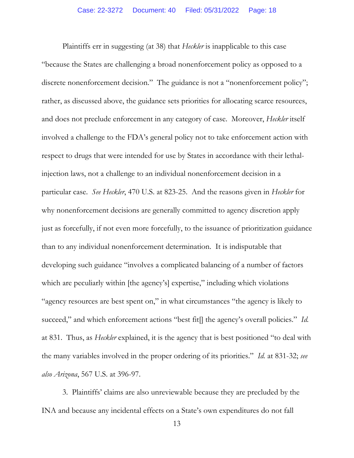Plaintiffs err in suggesting (at 38) that *Heckler* is inapplicable to this case "because the States are challenging a broad nonenforcement policy as opposed to a discrete nonenforcement decision." The guidance is not a "nonenforcement policy"; rather, as discussed above, the guidance sets priorities for allocating scarce resources, and does not preclude enforcement in any category of case. Moreover, *Heckler* itself involved a challenge to the FDA's general policy not to take enforcement action with respect to drugs that were intended for use by States in accordance with their lethalinjection laws, not a challenge to an individual nonenforcement decision in a particular case. *See Heckler*, 470 U.S. at 823-25. And the reasons given in *Heckler* for why nonenforcement decisions are generally committed to agency discretion apply just as forcefully, if not even more forcefully, to the issuance of prioritization guidance than to any individual nonenforcement determination. It is indisputable that developing such guidance "involves a complicated balancing of a number of factors which are peculiarly within [the agency's] expertise," including which violations "agency resources are best spent on," in what circumstances "the agency is likely to succeed," and which enforcement actions "best fit[] the agency's overall policies." *Id.* at 831. Thus, as *Heckler* explained, it is the agency that is best positioned "to deal with the many variables involved in the proper ordering of its priorities." *Id.* at 831-32; *see also Arizona*, 567 U.S. at 396-97.

3. Plaintiffs' claims are also unreviewable because they are precluded by the INA and because any incidental effects on a State's own expenditures do not fall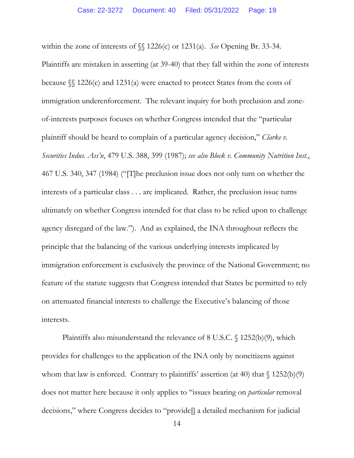within the zone of interests of §§ 1226(c) or 1231(a). *See* Opening Br. 33-34. Plaintiffs are mistaken in asserting (at 39-40) that they fall within the zone of interests because §§ 1226(c) and 1231(a) were enacted to protect States from the costs of immigration underenforcement. The relevant inquiry for both preclusion and zoneof-interests purposes focuses on whether Congress intended that the "particular plaintiff should be heard to complain of a particular agency decision," *Clarke v. Securities Indus. Ass'n*, 479 U.S. 388, 399 (1987); *see also Block v. Community Nutrition Inst.*, 467 U.S. 340, 347 (1984) ("[T]he preclusion issue does not only turn on whether the interests of a particular class . . . are implicated. Rather, the preclusion issue turns ultimately on whether Congress intended for that class to be relied upon to challenge agency disregard of the law."). And as explained, the INA throughout reflects the principle that the balancing of the various underlying interests implicated by immigration enforcement is exclusively the province of the National Government; no feature of the statute suggests that Congress intended that States be permitted to rely on attenuated financial interests to challenge the Executive's balancing of those interests.

Plaintiffs also misunderstand the relevance of 8 U.S.C. § 1252(b)(9), which provides for challenges to the application of the INA only by noncitizens against whom that law is enforced. Contrary to plaintiffs' assertion (at 40) that  $\{(1252(b)(9)\)$ does not matter here because it only applies to "issues bearing on *particular* removal decisions," where Congress decides to "provide[] a detailed mechanism for judicial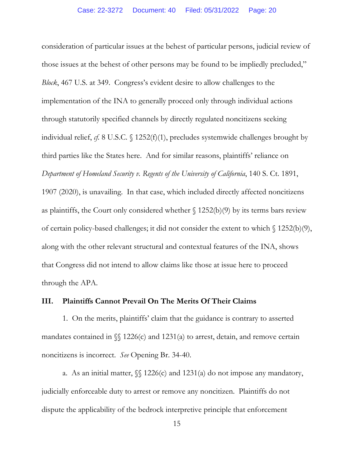consideration of particular issues at the behest of particular persons, judicial review of those issues at the behest of other persons may be found to be impliedly precluded," *Block*, 467 U.S. at 349. Congress's evident desire to allow challenges to the implementation of the INA to generally proceed only through individual actions through statutorily specified channels by directly regulated noncitizens seeking individual relief, *cf.* 8 U.S.C. § 1252(f)(1), precludes systemwide challenges brought by third parties like the States here. And for similar reasons, plaintiffs' reliance on *Department of Homeland Security v. Regents of the University of California*, 140 S. Ct. 1891, 1907 (2020), is unavailing. In that case, which included directly affected noncitizens as plaintiffs, the Court only considered whether  $\S$  1252(b)(9) by its terms bars review of certain policy-based challenges; it did not consider the extent to which § 1252(b)(9), along with the other relevant structural and contextual features of the INA, shows that Congress did not intend to allow claims like those at issue here to proceed through the APA.

### **III. Plaintiffs Cannot Prevail On The Merits Of Their Claims**

1. On the merits, plaintiffs' claim that the guidance is contrary to asserted mandates contained in  $\mathcal{S}$  1226(c) and 1231(a) to arrest, detain, and remove certain noncitizens is incorrect. *See* Opening Br. 34-40.

a. As an initial matter,  $\sqrt{\ }$  1226(c) and 1231(a) do not impose any mandatory, judicially enforceable duty to arrest or remove any noncitizen. Plaintiffs do not dispute the applicability of the bedrock interpretive principle that enforcement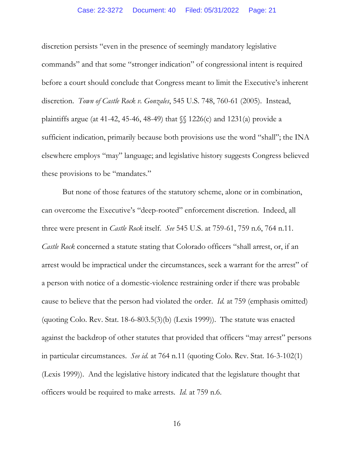discretion persists "even in the presence of seemingly mandatory legislative commands" and that some "stronger indication" of congressional intent is required before a court should conclude that Congress meant to limit the Executive's inherent discretion. *Town of Castle Rock v. Gonzales*, 545 U.S. 748, 760-61 (2005).Instead, plaintiffs argue (at 41-42, 45-46, 48-49) that  $\mathcal{S}$  1226(c) and 1231(a) provide a sufficient indication, primarily because both provisions use the word "shall"; the INA elsewhere employs "may" language; and legislative history suggests Congress believed these provisions to be "mandates."

But none of those features of the statutory scheme, alone or in combination, can overcome the Executive's "deep-rooted" enforcement discretion. Indeed, all three were present in *Castle Rock* itself. *See* 545 U.S. at 759-61, 759 n.6, 764 n.11. *Castle Rock* concerned a statute stating that Colorado officers "shall arrest, or, if an arrest would be impractical under the circumstances, seek a warrant for the arrest" of a person with notice of a domestic-violence restraining order if there was probable cause to believe that the person had violated the order. *Id.* at 759 (emphasis omitted) (quoting Colo. Rev. Stat. 18-6-803.5(3)(b) (Lexis 1999)). The statute was enacted against the backdrop of other statutes that provided that officers "may arrest" persons in particular circumstances. *See id.* at 764 n.11 (quoting Colo. Rev. Stat. 16-3-102(1) (Lexis 1999)). And the legislative history indicated that the legislature thought that officers would be required to make arrests. *Id.* at 759 n.6.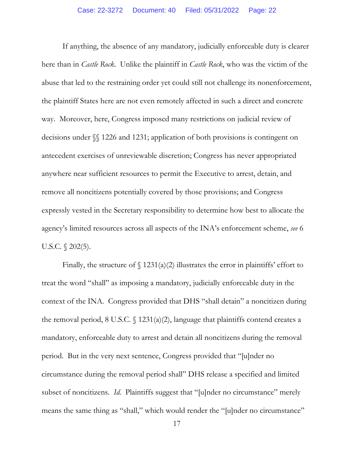If anything, the absence of any mandatory, judicially enforceable duty is clearer here than in *Castle Rock*. Unlike the plaintiff in *Castle Rock*, who was the victim of the abuse that led to the restraining order yet could still not challenge its nonenforcement, the plaintiff States here are not even remotely affected in such a direct and concrete way. Moreover, here, Congress imposed many restrictions on judicial review of decisions under §§ 1226 and 1231; application of both provisions is contingent on antecedent exercises of unreviewable discretion; Congress has never appropriated anywhere near sufficient resources to permit the Executive to arrest, detain, and remove all noncitizens potentially covered by those provisions; and Congress expressly vested in the Secretary responsibility to determine how best to allocate the agency's limited resources across all aspects of the INA's enforcement scheme, *see* 6 U.S.C. *§* 202(5).

Finally, the structure of  $\int$  1231(a)(2) illustrates the error in plaintiffs' effort to treat the word "shall" as imposing a mandatory, judicially enforceable duty in the context of the INA. Congress provided that DHS "shall detain" a noncitizen during the removal period, 8 U.S.C.  $\{(1231(a)(2), \text{language that } \text{plaintext} \})$  contend creates a mandatory, enforceable duty to arrest and detain all noncitizens during the removal period. But in the very next sentence, Congress provided that "[u]nder no circumstance during the removal period shall" DHS release a specified and limited subset of noncitizens. *Id.* Plaintiffs suggest that "[u]nder no circumstance" merely means the same thing as "shall," which would render the "[u]nder no circumstance"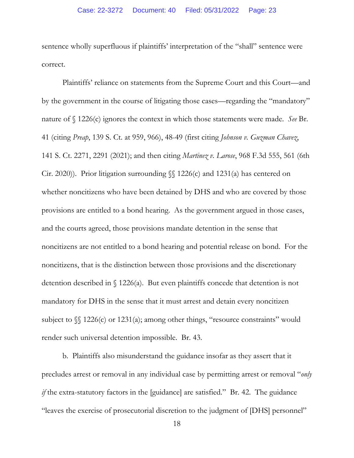sentence wholly superfluous if plaintiffs' interpretation of the "shall" sentence were correct.

Plaintiffs' reliance on statements from the Supreme Court and this Court—and by the government in the course of litigating those cases—regarding the "mandatory" nature of § 1226(c) ignores the context in which those statements were made. *See* Br. 41 (citing *Preap*, 139 S. Ct. at 959, 966), 48-49 (first citing *Johnson v. Guzman Chavez*, 141 S. Ct. 2271, 2291 (2021); and then citing *Martinez v. Larose*, 968 F.3d 555, 561 (6th Cir. 2020)). Prior litigation surrounding  $\{\int$  1226(c) and 1231(a) has centered on whether noncitizens who have been detained by DHS and who are covered by those provisions are entitled to a bond hearing. As the government argued in those cases, and the courts agreed, those provisions mandate detention in the sense that noncitizens are not entitled to a bond hearing and potential release on bond. For the noncitizens, that is the distinction between those provisions and the discretionary detention described in § 1226(a). But even plaintiffs concede that detention is not mandatory for DHS in the sense that it must arrest and detain every noncitizen subject to  $\mathcal{N}$  1226(c) or 1231(a); among other things, "resource constraints" would render such universal detention impossible. Br. 43.

b. Plaintiffs also misunderstand the guidance insofar as they assert that it precludes arrest or removal in any individual case by permitting arrest or removal "*only if* the extra-statutory factors in the [guidance] are satisfied." Br. 42. The guidance "leaves the exercise of prosecutorial discretion to the judgment of [DHS] personnel"

18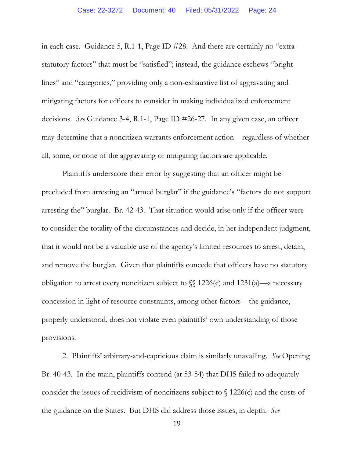in each case. Guidance 5, R.1-1, Page ID #28. And there are certainly no "extrastatutory factors" that must be "satisfied"; instead, the guidance eschews "bright lines" and "categories," providing only a non-exhaustive list of aggravating and mitigating factors for officers to consider in making individualized enforcement decisions. *See* Guidance 3-4, R.1-1, Page ID #26-27. In any given case, an officer may determine that a noncitizen warrants enforcement action—regardless of whether all, some, or none of the aggravating or mitigating factors are applicable.

Plaintiffs underscore their error by suggesting that an officer might be precluded from arresting an "armed burglar" if the guidance's "factors do not support arresting the" burglar. Br. 42-43. That situation would arise only if the officer were to consider the totality of the circumstances and decide, in her independent judgment, that it would not be a valuable use of the agency's limited resources to arrest, detain, and remove the burglar. Given that plaintiffs concede that officers have no statutory obligation to arrest every noncitizen subject to  $\sqrt{\ }$  1226(c) and 1231(a)—a necessary concession in light of resource constraints, among other factors—the guidance, properly understood, does not violate even plaintiffs' own understanding of those provisions.

2. Plaintiffs' arbitrary-and-capricious claim is similarly unavailing. *See* Opening Br. 40-43. In the main, plaintiffs contend (at 53-54) that DHS failed to adequately consider the issues of recidivism of noncitizens subject to  $\int$  1226(c) and the costs of the guidance on the States. But DHS did address those issues, in depth. *See*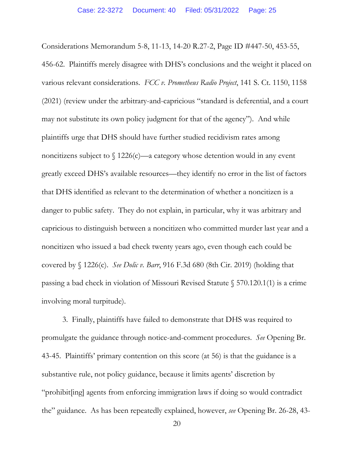Considerations Memorandum 5-8, 11-13, 14-20 R.27-2, Page ID #447-50, 453-55, 456-62. Plaintiffs merely disagree with DHS's conclusions and the weight it placed on various relevant considerations. *FCC v. Prometheus Radio Project*, 141 S. Ct. 1150, 1158 (2021) (review under the arbitrary-and-capricious "standard is deferential, and a court may not substitute its own policy judgment for that of the agency"). And while plaintiffs urge that DHS should have further studied recidivism rates among noncitizens subject to  $\int$  1226(c)—a category whose detention would in any event greatly exceed DHS's available resources—they identify no error in the list of factors that DHS identified as relevant to the determination of whether a noncitizen is a danger to public safety. They do not explain, in particular, why it was arbitrary and capricious to distinguish between a noncitizen who committed murder last year and a noncitizen who issued a bad check twenty years ago, even though each could be covered by § 1226(c). *See Dolic v. Barr*, 916 F.3d 680 (8th Cir. 2019) (holding that passing a bad check in violation of Missouri Revised Statute § 570.120.1(1) is a crime involving moral turpitude).

3. Finally, plaintiffs have failed to demonstrate that DHS was required to promulgate the guidance through notice-and-comment procedures. *See* Opening Br. 43-45. Plaintiffs' primary contention on this score (at 56) is that the guidance is a substantive rule, not policy guidance, because it limits agents' discretion by "prohibit[ing] agents from enforcing immigration laws if doing so would contradict the" guidance. As has been repeatedly explained, however, *see* Opening Br. 26-28, 43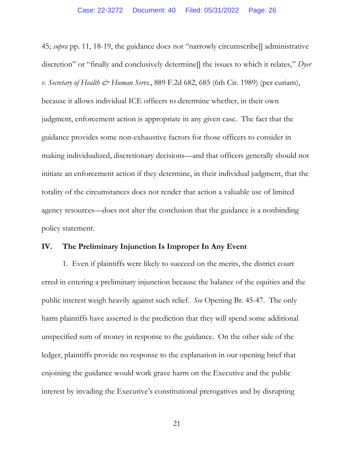45; *supra* pp. 11, 18-19, the guidance does not "narrowly circumscribe[] administrative discretion" or "finally and conclusively determine<sup>[]</sup> the issues to which it relates," *Dyer v. Secretary of Health & Human Servs.*, 889 F.2d 682, 685 (6th Cir. 1989) (per curiam), because it allows individual ICE officers to determine whether, in their own judgment, enforcement action is appropriate in any given case. The fact that the guidance provides some non-exhaustive factors for those officers to consider in making individualized, discretionary decisions—and that officers generally should not initiate an enforcement action if they determine, in their individual judgment, that the totality of the circumstances does not render that action a valuable use of limited agency resources—does not alter the conclusion that the guidance is a nonbinding policy statement.

### **IV. The Preliminary Injunction Is Improper In Any Event**

1. Even if plaintiffs were likely to succeed on the merits, the district court erred in entering a preliminary injunction because the balance of the equities and the public interest weigh heavily against such relief. *See* Opening Br. 45-47. The only harm plaintiffs have asserted is the prediction that they will spend some additional unspecified sum of money in response to the guidance. On the other side of the ledger, plaintiffs provide no response to the explanation in our opening brief that enjoining the guidance would work grave harm on the Executive and the public interest by invading the Executive's constitutional prerogatives and by disrupting

21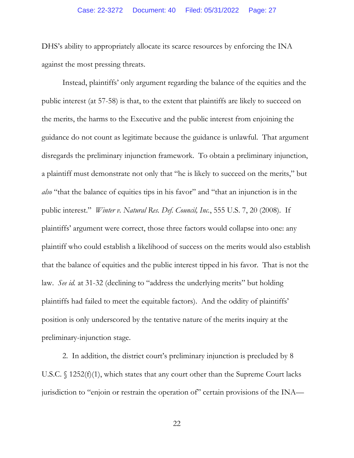DHS's ability to appropriately allocate its scarce resources by enforcing the INA against the most pressing threats.

Instead, plaintiffs' only argument regarding the balance of the equities and the public interest (at 57-58) is that, to the extent that plaintiffs are likely to succeed on the merits, the harms to the Executive and the public interest from enjoining the guidance do not count as legitimate because the guidance is unlawful. That argument disregards the preliminary injunction framework. To obtain a preliminary injunction, a plaintiff must demonstrate not only that "he is likely to succeed on the merits," but *also* "that the balance of equities tips in his favor" and "that an injunction is in the public interest." *Winter v. Natural Res. Def. Council, Inc.*, 555 U.S. 7, 20 (2008). If plaintiffs' argument were correct, those three factors would collapse into one: any plaintiff who could establish a likelihood of success on the merits would also establish that the balance of equities and the public interest tipped in his favor. That is not the law. *See id.* at 31-32 (declining to "address the underlying merits" but holding plaintiffs had failed to meet the equitable factors). And the oddity of plaintiffs' position is only underscored by the tentative nature of the merits inquiry at the preliminary-injunction stage.

2. In addition, the district court's preliminary injunction is precluded by 8 U.S.C. § 1252(f)(1), which states that any court other than the Supreme Court lacks jurisdiction to "enjoin or restrain the operation of" certain provisions of the INA—

22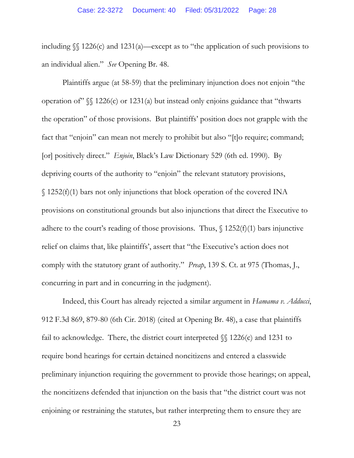including §§ 1226(c) and 1231(a)—except as to "the application of such provisions to an individual alien." *See* Opening Br. 48.

Plaintiffs argue (at 58-59) that the preliminary injunction does not enjoin "the operation of  $\sqrt[8]{}$  1226(c) or 1231(a) but instead only enjoins guidance that "thwarts the operation" of those provisions. But plaintiffs' position does not grapple with the fact that "enjoin" can mean not merely to prohibit but also "[t]o require; command; [or] positively direct." *Enjoin*, Black's Law Dictionary 529 (6th ed. 1990). By depriving courts of the authority to "enjoin" the relevant statutory provisions, § 1252(f)(1) bars not only injunctions that block operation of the covered INA provisions on constitutional grounds but also injunctions that direct the Executive to adhere to the court's reading of those provisions. Thus,  $\int$  1252(f)(1) bars injunctive relief on claims that, like plaintiffs', assert that "the Executive's action does not comply with the statutory grant of authority." *Preap*, 139 S. Ct. at 975 (Thomas, J., concurring in part and in concurring in the judgment).

Indeed, this Court has already rejected a similar argument in *Hamama v. Adducci*, 912 F.3d 869, 879-80 (6th Cir. 2018) (cited at Opening Br. 48), a case that plaintiffs fail to acknowledge. There, the district court interpreted  $\mathcal{N}$  1226(c) and 1231 to require bond hearings for certain detained noncitizens and entered a classwide preliminary injunction requiring the government to provide those hearings; on appeal, the noncitizens defended that injunction on the basis that "the district court was not enjoining or restraining the statutes, but rather interpreting them to ensure they are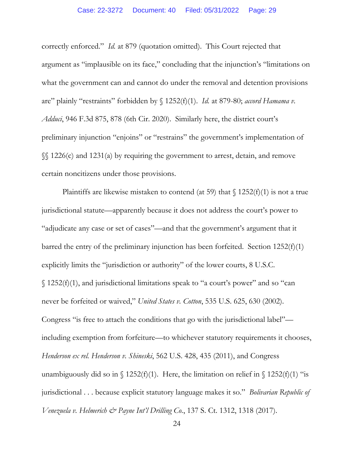correctly enforced." *Id.* at 879 (quotation omitted). This Court rejected that argument as "implausible on its face," concluding that the injunction's "limitations on what the government can and cannot do under the removal and detention provisions are" plainly "restraints" forbidden by § 1252(f)(1). *Id.* at 879-80; *accord Hamama v. Adduci*, 946 F.3d 875, 878 (6th Cir. 2020). Similarly here, the district court's preliminary injunction "enjoins" or "restrains" the government's implementation of §§ 1226(c) and 1231(a) by requiring the government to arrest, detain, and remove certain noncitizens under those provisions.

Plaintiffs are likewise mistaken to contend (at 59) that  $\int$  1252(f)(1) is not a true jurisdictional statute—apparently because it does not address the court's power to "adjudicate any case or set of cases"—and that the government's argument that it barred the entry of the preliminary injunction has been forfeited. Section 1252(f)(1) explicitly limits the "jurisdiction or authority" of the lower courts, 8 U.S.C. § 1252(f)(1), and jurisdictional limitations speak to "a court's power" and so "can never be forfeited or waived," *United States v. Cotton*, 535 U.S. 625, 630 (2002). Congress "is free to attach the conditions that go with the jurisdictional label" including exemption from forfeiture—to whichever statutory requirements it chooses, *Henderson ex rel. Henderson v. Shineski*, 562 U.S. 428, 435 (2011), and Congress unambiguously did so in  $\int$  1252(f)(1). Here, the limitation on relief in  $\int$  1252(f)(1) "is jurisdictional . . . because explicit statutory language makes it so." *Bolivarian Republic of Venezuela v. Helmerich & Payne Int'l Drilling Co.*, 137 S. Ct. 1312, 1318 (2017).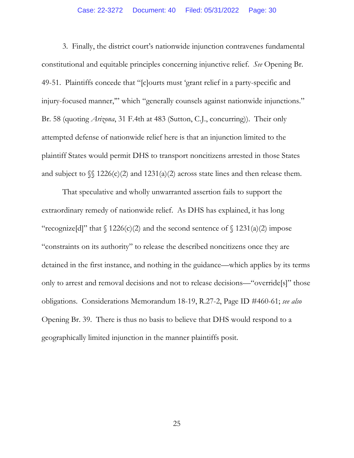3. Finally, the district court's nationwide injunction contravenes fundamental constitutional and equitable principles concerning injunctive relief. *See* Opening Br. 49-51. Plaintiffs concede that "[c]ourts must 'grant relief in a party-specific and injury-focused manner," which "generally counsels against nationwide injunctions." Br. 58 (quoting *Arizona*, 31 F.4th at 483 (Sutton, C.J., concurring)). Their only attempted defense of nationwide relief here is that an injunction limited to the plaintiff States would permit DHS to transport noncitizens arrested in those States and subject to  $\S$  1226(c)(2) and 1231(a)(2) across state lines and then release them.

That speculative and wholly unwarranted assertion fails to support the extraordinary remedy of nationwide relief. As DHS has explained, it has long "recognize[d]" that  $\int$  1226(c)(2) and the second sentence of  $\int$  1231(a)(2) impose "constraints on its authority" to release the described noncitizens once they are detained in the first instance, and nothing in the guidance—which applies by its terms only to arrest and removal decisions and not to release decisions—"override[s]" those obligations. Considerations Memorandum 18-19, R.27-2, Page ID #460-61; *see also*  Opening Br. 39. There is thus no basis to believe that DHS would respond to a geographically limited injunction in the manner plaintiffs posit.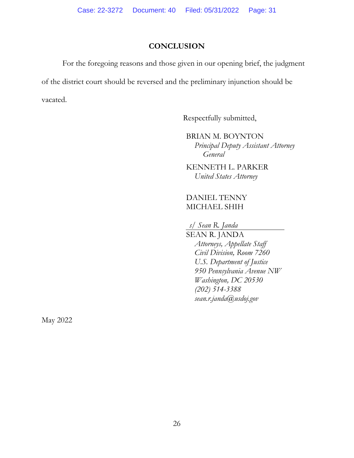## **CONCLUSION**

For the foregoing reasons and those given in our opening brief, the judgment of the district court should be reversed and the preliminary injunction should be vacated.

Respectfully submitted,

BRIAN M. BOYNTON *Principal Deputy Assistant Attorney General* 

KENNETH L. PARKER *United States Attorney* 

### DANIEL TENNY MICHAEL SHIH

*s/ Sean R. Janda* 

SEAN R. JANDA *Attorneys, Appellate Staff Civil Division, Room 7260 U.S. Department of Justice 950 Pennsylvania Avenue NW Washington, DC 20530 (202) 514-3388 sean.r.janda@usdoj.gov* 

May 2022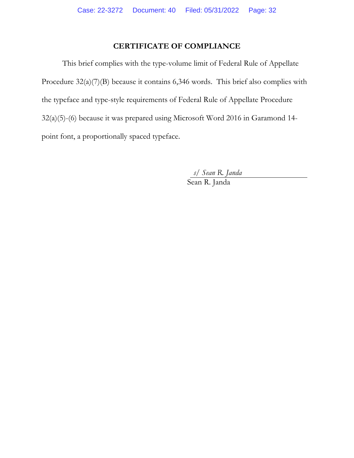## **CERTIFICATE OF COMPLIANCE**

This brief complies with the type-volume limit of Federal Rule of Appellate Procedure  $32(a)(7)(B)$  because it contains 6,346 words. This brief also complies with the typeface and type-style requirements of Federal Rule of Appellate Procedure 32(a)(5)-(6) because it was prepared using Microsoft Word 2016 in Garamond 14 point font, a proportionally spaced typeface.

*s/ Sean R. Janda* 

Sean R. Janda